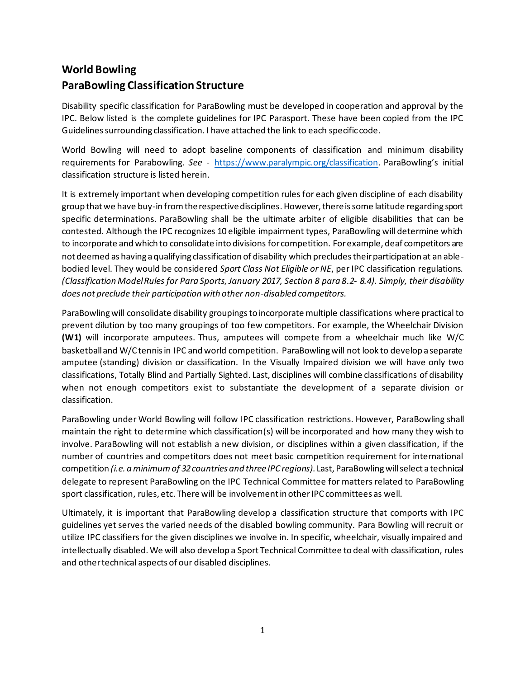# **World Bowling ParaBowling Classification Structure**

Disability specific classification for ParaBowling must be developed in cooperation and approval by the IPC. Below listed is the complete guidelines for IPC Parasport. These have been copied from the IPC Guidelines surrounding classification. I have attached the link to each specific code.

World Bowling will need to adopt baseline components of classification and minimum disability requirements for Parabowling*. See -* <https://www.paralympic.org/classification>. ParaBowling's initial classification structure is listed herein.

It is extremely important when developing competition rules for each given discipline of each disability group that we have buy-in from the respective disciplines. However, there is some latitude regarding sport specific determinations. ParaBowling shall be the ultimate arbiter of eligible disabilities that can be contested. Although the IPC recognizes 10 eligible impairment types, ParaBowling will determine which to incorporate and which to consolidate into divisions for competition. For example, deaf competitors are not deemed as having a qualifying classification of disability which precludes their participation at an ablebodied level. They would be considered *Sport Class Not Eligible or NE*, per IPC classification regulations. *(Classification Model Rules for Para Sports, January 2017, Section 8 para 8.2- 8.4). Simply, their disability does not preclude their participation with other non-disabled competitors.*

ParaBowlingwill consolidate disability groupingsto incorporate multiple classifications where practical to prevent dilution by too many groupings of too few competitors. For example, the Wheelchair Division **(W1)** will incorporate amputees. Thus, amputees will compete from a wheelchair much like W/C basketball and W/C tennis in IPC and world competition. ParaBowling will not look to develop a separate amputee (standing) division or classification. In the Visually Impaired division we will have only two classifications, Totally Blind and Partially Sighted. Last, disciplines will combine classifications of disability when not enough competitors exist to substantiate the development of a separate division or classification.

ParaBowling under World Bowling will follow IPC classification restrictions. However, ParaBowling shall maintain the right to determine which classification(s) will be incorporated and how many they wish to involve. ParaBowling will not establish a new division, or disciplines within a given classification, if the number of countries and competitors does not meet basic competition requirement for international competition *(i.e. a minimum of 32countries and three IPC regions)*. Last, ParaBowlingwillselect a technical delegate to represent ParaBowling on the IPC Technical Committee for matters related to ParaBowling sport classification, rules, etc. There will be involvement in other IPC committees as well.

Ultimately, it is important that ParaBowling develop a classification structure that comports with IPC guidelines yet serves the varied needs of the disabled bowling community. Para Bowling will recruit or utilize IPC classifiers for the given disciplines we involve in. In specific, wheelchair, visually impaired and intellectually disabled. We will also develop a Sport Technical Committee to deal with classification, rules and other technical aspects of our disabled disciplines.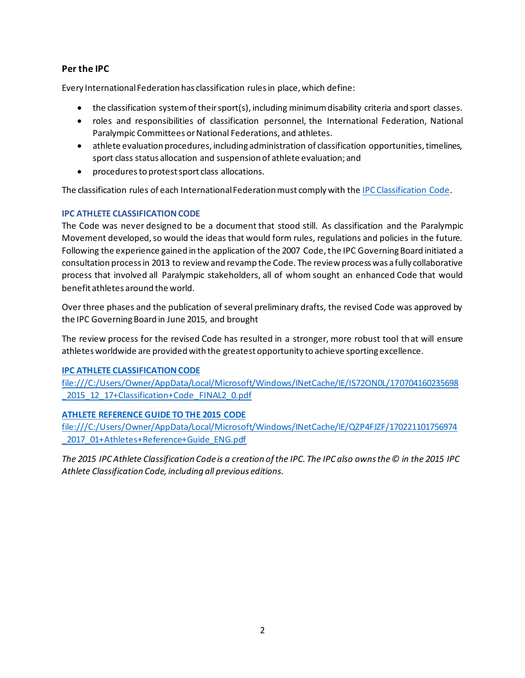# **Per the IPC**

Every International Federation has classification rules in place, which define:

- the classification system of their sport(s), including minimum disability criteria and sport classes.
- roles and responsibilities of classification personnel, the International Federation, National Paralympic Committees or National Federations, and athletes.
- athlete evaluation procedures, including administration of classification opportunities, timelines, sport class status allocation and suspension of athlete evaluation; and
- procedures to protest sport class allocations.

The classification rules of each International Federation must comply with th[e IPC Classification Code.](https://www.paralympic.org/sites/default/files/document/170704160235698_2015_12_17%2BClassification%2BCode_FINAL2_0.pdf)

### **IPC ATHLETE CLASSIFICATION CODE**

The Code was never designed to be a document that stood still. As classification and the Paralympic Movement developed, so would the ideas that would form rules, regulations and policies in the future. Following the experience gained in the application of the 2007 Code, the IPC Governing Board initiated a consultation process in 2013 to review and revamp the Code. The review process was a fully collaborative process that involved all Paralympic stakeholders, all of whom sought an enhanced Code that would benefit athletes around the world.

Over three phases and the publication of several preliminary drafts, the revised Code was approved by the IPC Governing Board in June 2015, and brought

The review process for the revised Code has resulted in a stronger, more robust tool that will ensure athletes worldwide are provided with the greatest opportunity to achieve sporting excellence.

#### **[IPC ATHLETE CLASSIFICATION CODE](https://www.paralympic.org/sites/default/files/document/170704160235698_2015_12_17%2BClassification%2BCode_FINAL2_0.pdf)**

[file:///C:/Users/Owner/AppData/Local/Microsoft/Windows/INetCache/IE/IS72ON0L/170704160235698](file:///C:/Users/Owner/AppData/Local/Microsoft/Windows/INetCache/IE/IS72ON0L/170704160235698_2015_12_17+Classification+Code_FINAL2_0.pdf) 2015\_12\_17+Classification+Code\_FINAL2\_0.pdf

### **[ATHLETE REFERENCE GUIDE TO THE 2015 CODE](https://www.paralympic.org/sites/default/files/document/170221101756974_2017_01%2BAthletes%2BReference%2BGuide_ENG.pdf)**

[file:///C:/Users/Owner/AppData/Local/Microsoft/Windows/INetCache/IE/QZP4FJZF/170221101756974](file:///C:/Users/Owner/AppData/Local/Microsoft/Windows/INetCache/IE/QZP4FJZF/170221101756974_2017_01+Athletes+Reference+Guide_ENG.pdf) 2017\_01+Athletes+Reference+Guide\_ENG.pdf

*The 2015 IPC Athlete Classification Code is a creation of the IPC. The IPC also owns the © in the 2015 IPC Athlete Classification Code, including all previous editions.*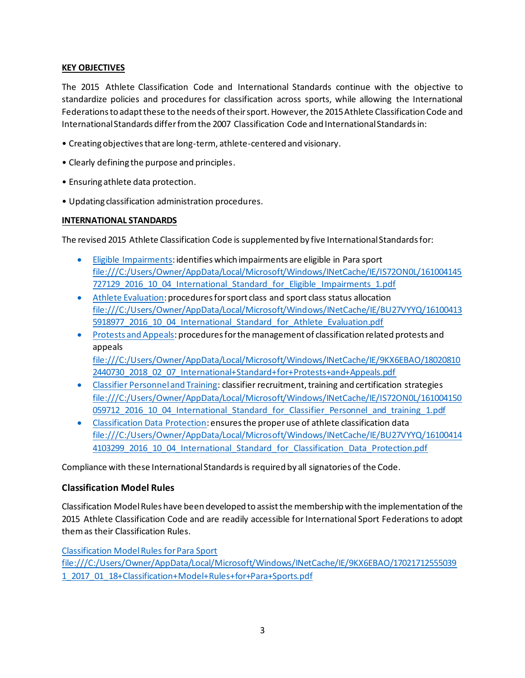#### **KEY OBJECTIVES**

The 2015 Athlete Classification Code and International Standards continue with the objective to standardize policies and procedures for classification across sports, while allowing the International Federations to adapt these to the needs of their sport. However, the 2015 Athlete Classification Code and International Standards differ from the 2007 Classification Code and International Standards in:

- Creating objectives that are long-term, athlete-centered and visionary.
- Clearly defining the purpose and principles.
- Ensuring athlete data protection.
- Updating classification administration procedures.

#### **INTERNATIONAL STANDARDS**

The revised 2015 Athlete Classification Code is supplemented by five International Standards for:

- [Eligible Impairments:](https://www.paralympic.org/sites/default/files/document/161004145727129_2016_10_04_International_Standard_for_Eligible_Impairments_1.pdf) identifies which impairments are eligible in Para sport [file:///C:/Users/Owner/AppData/Local/Microsoft/Windows/INetCache/IE/IS72ON0L/161004145](file:///C:/Users/Owner/AppData/Local/Microsoft/Windows/INetCache/IE/IS72ON0L/161004145727129_2016_10_04_International_Standard_for_Eligible_Impairments_1.pdf) 727129 2016 10 04 International Standard for Eligible Impairments 1.pdf
- [Athlete Evaluation:](https://www.paralympic.org/sites/default/files/document/161004135918977_2016_10_04_International_Standard_for_Athlete_Evaluation.pdf) procedures for sport class and sport class status allocation [file:///C:/Users/Owner/AppData/Local/Microsoft/Windows/INetCache/IE/BU27VYYQ/16100413](file:///C:/Users/Owner/AppData/Local/Microsoft/Windows/INetCache/IE/BU27VYYQ/161004135918977_2016_10_04_International_Standard_for_Athlete_Evaluation.pdf) [5918977\\_2016\\_10\\_04\\_International\\_Standard\\_for\\_Athlete\\_Evaluation.pdf](file:///C:/Users/Owner/AppData/Local/Microsoft/Windows/INetCache/IE/BU27VYYQ/161004135918977_2016_10_04_International_Standard_for_Athlete_Evaluation.pdf)
- [Protests and Appeals:](https://www.paralympic.org/sites/default/files/document/180208102440730_2018_02_07_International+Standard+for+Protests+and+Appeals.pdf) procedures for the management of classification related protests and appeals [file:///C:/Users/Owner/AppData/Local/Microsoft/Windows/INetCache/IE/9KX6EBAO/18020810](file:///C:/Users/Owner/AppData/Local/Microsoft/Windows/INetCache/IE/9KX6EBAO/180208102440730_2018_02_07_International+Standard+for+Protests+and+Appeals.pdf) [2440730\\_2018\\_02\\_07\\_International+Standard+for+Protests+and+Appeals.pdf](file:///C:/Users/Owner/AppData/Local/Microsoft/Windows/INetCache/IE/9KX6EBAO/180208102440730_2018_02_07_International+Standard+for+Protests+and+Appeals.pdf)
- [Classifier Personnel and Training:](https://www.paralympic.org/sites/default/files/document/161004150059712_2016_10_04_International_Standard_for_Classifier_Personnel_and_training_1.pdf) classifier recruitment, training and certification strategies [file:///C:/Users/Owner/AppData/Local/Microsoft/Windows/INetCache/IE/IS72ON0L/161004150](file:///C:/Users/Owner/AppData/Local/Microsoft/Windows/INetCache/IE/IS72ON0L/161004150059712_2016_10_04_International_Standard_for_Classifier_Personnel_and_training_1.pdf) [059712\\_2016\\_10\\_04\\_International\\_Standard\\_for\\_Classifier\\_Personnel\\_and\\_training\\_1.pdf](file:///C:/Users/Owner/AppData/Local/Microsoft/Windows/INetCache/IE/IS72ON0L/161004150059712_2016_10_04_International_Standard_for_Classifier_Personnel_and_training_1.pdf)
- [Classification Data Protection:](https://www.paralympic.org/sites/default/files/document/161004144103299_2016_10_04_International_Standard_for_Classification_Data_Protection.pdf) ensures the proper use of athlete classification data [file:///C:/Users/Owner/AppData/Local/Microsoft/Windows/INetCache/IE/BU27VYYQ/16100414](file:///C:/Users/Owner/AppData/Local/Microsoft/Windows/INetCache/IE/BU27VYYQ/161004144103299_2016_10_04_International_Standard_for_Classification_Data_Protection.pdf) [4103299\\_2016\\_10\\_04\\_International\\_Standard\\_for\\_Classification\\_Data\\_Protection.pdf](file:///C:/Users/Owner/AppData/Local/Microsoft/Windows/INetCache/IE/BU27VYYQ/161004144103299_2016_10_04_International_Standard_for_Classification_Data_Protection.pdf)

Compliance with these International Standards is required by all signatories of the Code.

### **Classification Model Rules**

Classification Model Rules have been developed to assist the membership with the implementation of the 2015 Athlete Classification Code and are readily accessible for International Sport Federations to adopt them as their Classification Rules.

[Classification Model Rules for Para Sport](https://www.paralympic.org/sites/default/files/document/170217125550391_2017_01_18+Classification+Model+Rules+for+Para+Sports.pdf)

[file:///C:/Users/Owner/AppData/Local/Microsoft/Windows/INetCache/IE/9KX6EBAO/17021712555039](file:///C:/Users/Owner/AppData/Local/Microsoft/Windows/INetCache/IE/9KX6EBAO/170217125550391_2017_01_18+Classification+Model+Rules+for+Para+Sports.pdf) [1\\_2017\\_01\\_18+Classification+Model+Rules+for+Para+Sports.pdf](file:///C:/Users/Owner/AppData/Local/Microsoft/Windows/INetCache/IE/9KX6EBAO/170217125550391_2017_01_18+Classification+Model+Rules+for+Para+Sports.pdf)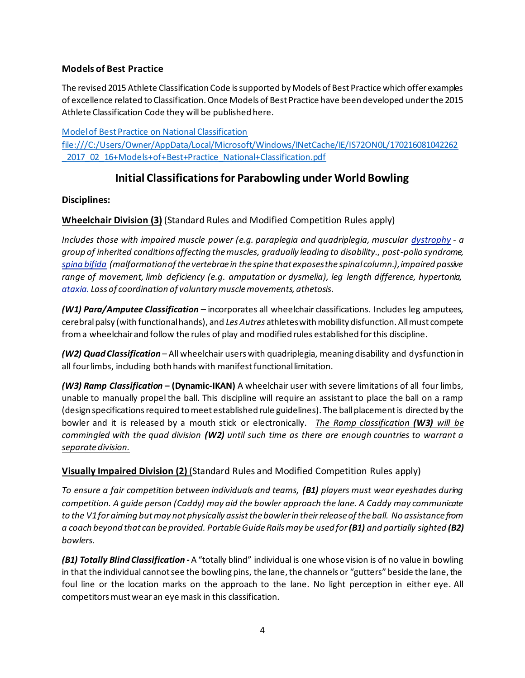# **Models of Best Practice**

The revised 2015 Athlete Classification Code is supported by Models of Best Practice which offer examples of excellence related to Classification. Once Models of Best Practice have been developed under the 2015 Athlete Classification Code they will be published here.

[Model of Best Practice on National Classification](https://www.paralympic.org/sites/default/files/document/170216081042262_2017_02_16+Models+of+Best+Practice_National+Classification.pdf) [file:///C:/Users/Owner/AppData/Local/Microsoft/Windows/INetCache/IE/IS72ON0L/170216081042262](file:///C:/Users/Owner/AppData/Local/Microsoft/Windows/INetCache/IE/IS72ON0L/170216081042262_2017_02_16+Models+of+Best+Practice_National+Classification.pdf) [\\_2017\\_02\\_16+Models+of+Best+Practice\\_National+Classification.pdf](file:///C:/Users/Owner/AppData/Local/Microsoft/Windows/INetCache/IE/IS72ON0L/170216081042262_2017_02_16+Models+of+Best+Practice_National+Classification.pdf)

# **Initial Classifications for Parabowling under World Bowling**

# **Disciplines:**

**Wheelchair Division (3)** (Standard Rules and Modified Competition Rules apply)

*Includes those with impaired muscle power (e.g. paraplegia and quadriplegia, muscular [dystrophy](https://www.bing.com/search?q=Muscular+Dystrophy&filters=sid%3a74c369e6-864c-e0d3-b2ed-6faa8acbd5db&form=ENTLNK) - a group of inherited conditions affecting the muscles, gradually leading to disability., post-polio syndrome, [spina bifida](https://www.bing.com/search?q=Spina+Bifida&filters=sid%3abc6f5d41-3af0-4bbd-20a5-e1fa2971becf&form=ENTLNK) (malformation of the vertebrae in the spine that exposes the spinal column.), impaired passive range of movement, limb deficiency (e.g. amputation or dysmelia), leg length difference, hypertonia, [ataxia.](https://www.bing.com/search?q=Impaired+Coordination&filters=sid%3a18b56566-2f92-1ee3-6bfa-ea78133dd743&form=ENTLNK) Loss of coordination of voluntary muscle movements, athetosis.*

*(W1) Para/Amputee Classification* – incorporates all wheelchair classifications. Includes leg amputees, cerebral palsy (with functional hands), and *Les Autres* athletes with mobility disfunction. All must compete from a wheelchair and follow the rules of play and modified rules established for this discipline.

*(W2) Quad Classification* – All wheelchair users with quadriplegia, meaning disability and dysfunction in all four limbs, including both hands with manifest functional limitation.

*(W3) Ramp Classification* **– (Dynamic-IKAN)** A wheelchair user with severe limitations of all four limbs, unable to manually propel the ball. This discipline will require an assistant to place the ball on a ramp (design specifications required to meet established rule guidelines). The ball placement is directed by the bowler and it is released by a mouth stick or electronically. *The Ramp classification (W3) will be commingled with the quad division (W2) until such time as there are enough countries to warrant a separate division.*

**Visually Impaired Division (2)** (Standard Rules and Modified Competition Rules apply)

*To ensure a fair competition between individuals and teams, (B1) players must wear eyeshades during competition. A guide person (Caddy) may aid the bowler approach the lane. A Caddy may communicate to the V1for aiming but may not physically assist the bowler in their release of the ball. No assistance from a coach beyond that can be provided. Portable Guide Rails may be used for (B1) and partially sighted (B2) bowlers.*

*(B1) Totally Blind Classification -* A "totally blind" individual is one whose vision is of no value in bowling in that the individual cannot see the bowling pins, the lane, the channels or "gutters" beside the lane, the foul line or the location marks on the approach to the lane. No light perception in either eye. All competitors must wear an eye mask in this classification.